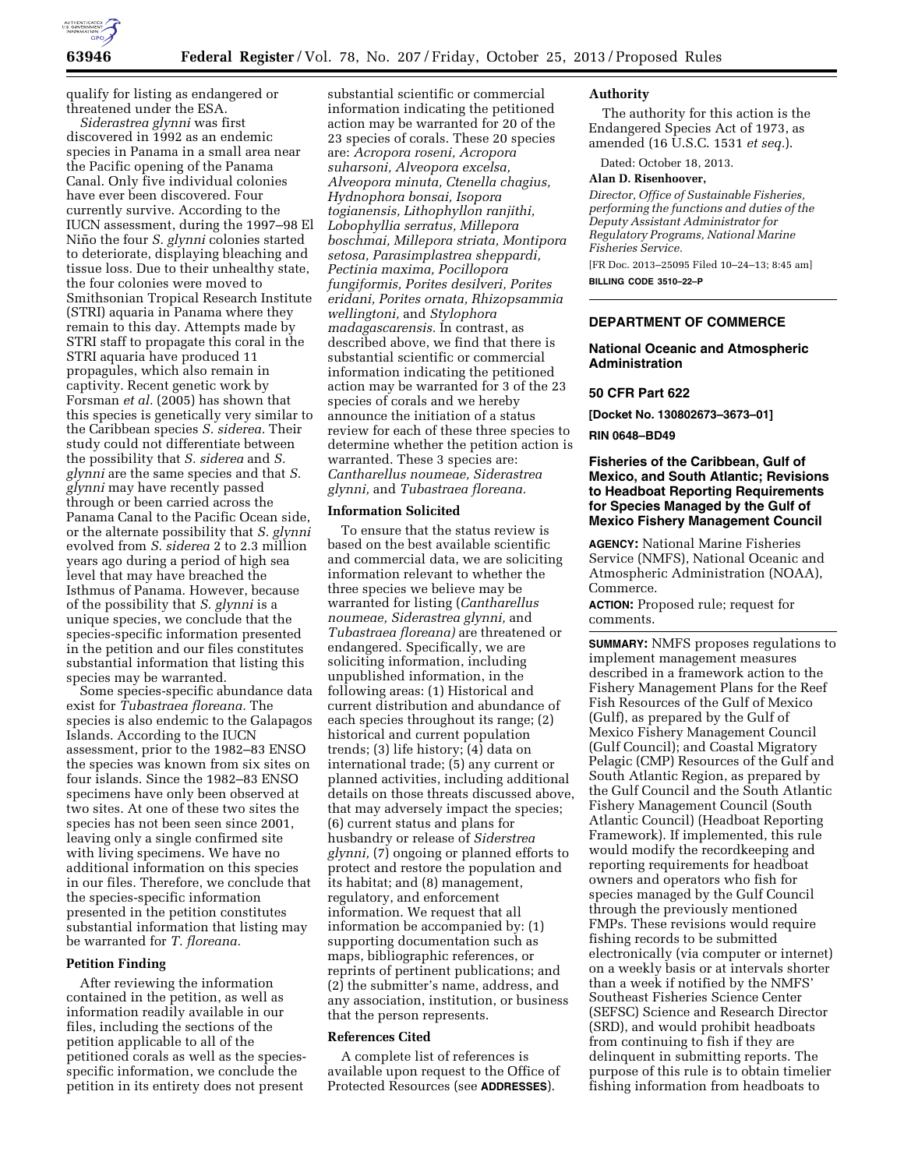

qualify for listing as endangered or threatened under the ESA.

*Siderastrea glynni* was first discovered in 1992 as an endemic species in Panama in a small area near the Pacific opening of the Panama Canal. Only five individual colonies have ever been discovered. Four currently survive. According to the IUCN assessment, during the 1997–98 El Niño the four *S. glynni* colonies started to deteriorate, displaying bleaching and tissue loss. Due to their unhealthy state, the four colonies were moved to Smithsonian Tropical Research Institute (STRI) aquaria in Panama where they remain to this day. Attempts made by STRI staff to propagate this coral in the STRI aquaria have produced 11 propagules, which also remain in captivity. Recent genetic work by Forsman *et al.* (2005) has shown that this species is genetically very similar to the Caribbean species *S. siderea.* Their study could not differentiate between the possibility that *S. siderea* and *S. glynni* are the same species and that *S. glynni* may have recently passed through or been carried across the Panama Canal to the Pacific Ocean side, or the alternate possibility that *S. glynni*  evolved from *S. siderea* 2 to 2.3 million years ago during a period of high sea level that may have breached the Isthmus of Panama. However, because of the possibility that *S. glynni* is a unique species, we conclude that the species-specific information presented in the petition and our files constitutes substantial information that listing this species may be warranted.

Some species-specific abundance data exist for *Tubastraea floreana.* The species is also endemic to the Galapagos Islands. According to the IUCN assessment, prior to the 1982–83 ENSO the species was known from six sites on four islands. Since the 1982–83 ENSO specimens have only been observed at two sites. At one of these two sites the species has not been seen since 2001, leaving only a single confirmed site with living specimens. We have no additional information on this species in our files. Therefore, we conclude that the species-specific information presented in the petition constitutes substantial information that listing may be warranted for *T. floreana.* 

## **Petition Finding**

After reviewing the information contained in the petition, as well as information readily available in our files, including the sections of the petition applicable to all of the petitioned corals as well as the speciesspecific information, we conclude the petition in its entirety does not present

substantial scientific or commercial information indicating the petitioned action may be warranted for 20 of the 23 species of corals. These 20 species are: *Acropora roseni, Acropora suharsoni, Alveopora excelsa, Alveopora minuta, Ctenella chagius, Hydnophora bonsai, Isopora togianensis, Lithophyllon ranjithi, Lobophyllia serratus, Millepora boschmai, Millepora striata, Montipora setosa, Parasimplastrea sheppardi, Pectinia maxima, Pocillopora fungiformis, Porites desilveri, Porites eridani, Porites ornata, Rhizopsammia wellingtoni,* and *Stylophora madagascarensis.* In contrast, as described above, we find that there is substantial scientific or commercial information indicating the petitioned action may be warranted for 3 of the 23 species of corals and we hereby announce the initiation of a status review for each of these three species to determine whether the petition action is warranted. These 3 species are: *Cantharellus noumeae, Siderastrea glynni,* and *Tubastraea floreana.* 

#### **Information Solicited**

To ensure that the status review is based on the best available scientific and commercial data, we are soliciting information relevant to whether the three species we believe may be warranted for listing (*Cantharellus noumeae, Siderastrea glynni,* and *Tubastraea floreana)* are threatened or endangered. Specifically, we are soliciting information, including unpublished information, in the following areas: (1) Historical and current distribution and abundance of each species throughout its range; (2) historical and current population trends; (3) life history; (4) data on international trade; (5) any current or planned activities, including additional details on those threats discussed above, that may adversely impact the species; (6) current status and plans for husbandry or release of *Siderstrea glynni,* (7) ongoing or planned efforts to protect and restore the population and its habitat; and (8) management, regulatory, and enforcement information. We request that all information be accompanied by: (1) supporting documentation such as maps, bibliographic references, or reprints of pertinent publications; and (2) the submitter's name, address, and any association, institution, or business that the person represents.

# **References Cited**

A complete list of references is available upon request to the Office of Protected Resources (see **ADDRESSES**).

### **Authority**

The authority for this action is the Endangered Species Act of 1973, as amended (16 U.S.C. 1531 *et seq.*).

Dated: October 18, 2013.

#### **Alan D. Risenhoover,**

*Director, Office of Sustainable Fisheries, performing the functions and duties of the Deputy Assistant Administrator for Regulatory Programs, National Marine Fisheries Service.* 

[FR Doc. 2013–25095 Filed 10–24–13; 8:45 am] **BILLING CODE 3510–22–P** 

## **DEPARTMENT OF COMMERCE**

## **National Oceanic and Atmospheric Administration**

### **50 CFR Part 622**

**[Docket No. 130802673–3673–01]** 

## **RIN 0648–BD49**

## **Fisheries of the Caribbean, Gulf of Mexico, and South Atlantic; Revisions to Headboat Reporting Requirements for Species Managed by the Gulf of Mexico Fishery Management Council**

**AGENCY:** National Marine Fisheries Service (NMFS), National Oceanic and Atmospheric Administration (NOAA), Commerce.

**ACTION:** Proposed rule; request for comments.

**SUMMARY:** NMFS proposes regulations to implement management measures described in a framework action to the Fishery Management Plans for the Reef Fish Resources of the Gulf of Mexico (Gulf), as prepared by the Gulf of Mexico Fishery Management Council (Gulf Council); and Coastal Migratory Pelagic (CMP) Resources of the Gulf and South Atlantic Region, as prepared by the Gulf Council and the South Atlantic Fishery Management Council (South Atlantic Council) (Headboat Reporting Framework). If implemented, this rule would modify the recordkeeping and reporting requirements for headboat owners and operators who fish for species managed by the Gulf Council through the previously mentioned FMPs. These revisions would require fishing records to be submitted electronically (via computer or internet) on a weekly basis or at intervals shorter than a week if notified by the NMFS' Southeast Fisheries Science Center (SEFSC) Science and Research Director (SRD), and would prohibit headboats from continuing to fish if they are delinquent in submitting reports. The purpose of this rule is to obtain timelier fishing information from headboats to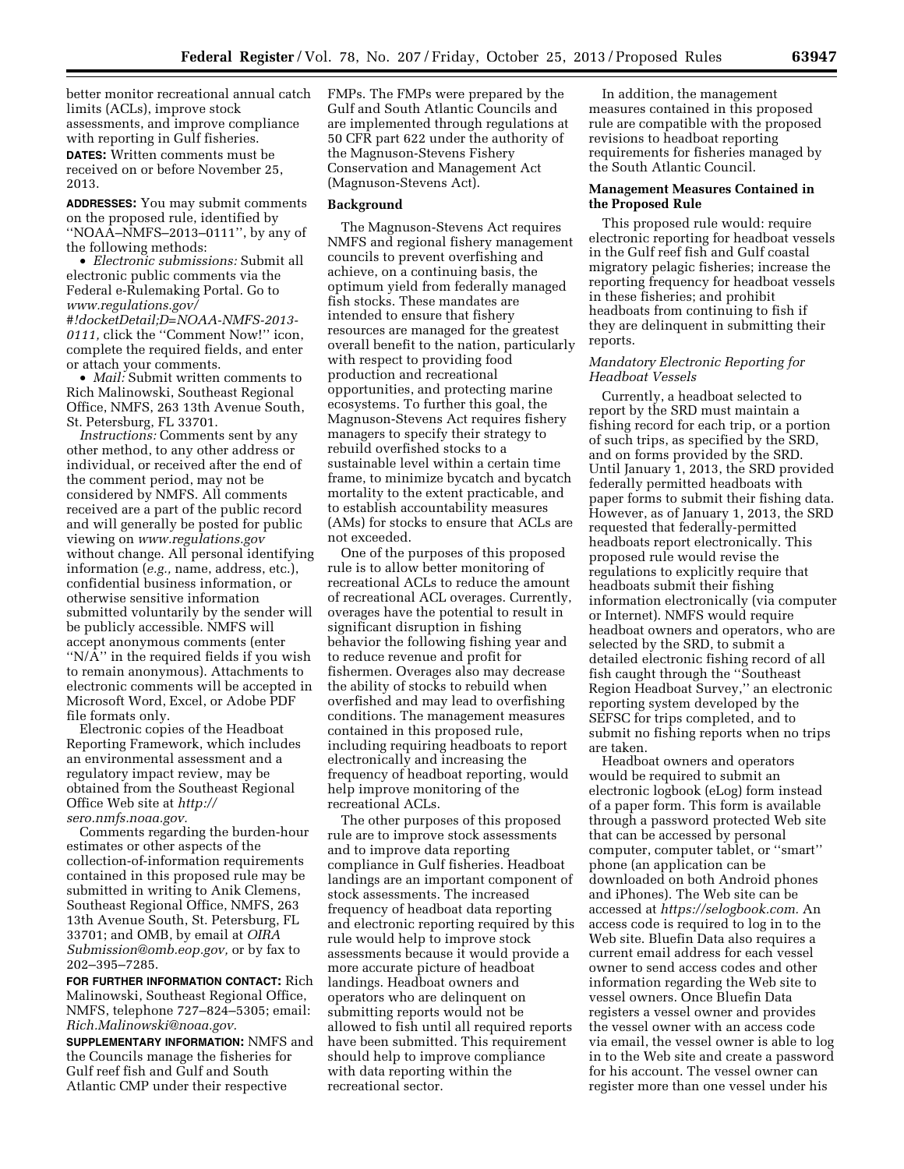better monitor recreational annual catch limits (ACLs), improve stock assessments, and improve compliance with reporting in Gulf fisheries.

**DATES:** Written comments must be received on or before November 25, 2013.

**ADDRESSES:** You may submit comments on the proposed rule, identified by ''NOAA–NMFS–2013–0111'', by any of the following methods:

• *Electronic submissions:* Submit all electronic public comments via the Federal e-Rulemaking Portal. Go to *[www.regulations.gov/](http://www.regulations.gov/#!docketDetail;D=NOAA-NMFS-2013-0111) [#!docketDetail;D=NOAA-NMFS-2013-](http://www.regulations.gov/#!docketDetail;D=NOAA-NMFS-2013-0111) [0111,](http://www.regulations.gov/#!docketDetail;D=NOAA-NMFS-2013-0111)* click the ''Comment Now!'' icon, complete the required fields, and enter or attach your comments.

• *Mail:* Submit written comments to Rich Malinowski, Southeast Regional Office, NMFS, 263 13th Avenue South, St. Petersburg, FL 33701.

*Instructions:* Comments sent by any other method, to any other address or individual, or received after the end of the comment period, may not be considered by NMFS. All comments received are a part of the public record and will generally be posted for public viewing on *[www.regulations.gov](http://www.regulations.gov)*  without change. All personal identifying information (*e.g.,* name, address, etc.), confidential business information, or otherwise sensitive information submitted voluntarily by the sender will be publicly accessible. NMFS will accept anonymous comments (enter ''N/A'' in the required fields if you wish to remain anonymous). Attachments to electronic comments will be accepted in Microsoft Word, Excel, or Adobe PDF file formats only.

Electronic copies of the Headboat Reporting Framework, which includes an environmental assessment and a regulatory impact review, may be obtained from the Southeast Regional Office Web site at *[http://](http://sero.nmfs.noaa.gov) [sero.nmfs.noaa.gov.](http://sero.nmfs.noaa.gov)* 

Comments regarding the burden-hour estimates or other aspects of the collection-of-information requirements contained in this proposed rule may be submitted in writing to Anik Clemens, Southeast Regional Office, NMFS, 263 13th Avenue South, St. Petersburg, FL 33701; and OMB, by email at *[OIRA](mailto:OIRA_Submission@omb.eop.gov) [Submission@omb.eop.gov,](mailto:OIRA_Submission@omb.eop.gov)* or by fax to 202–395–7285.

**FOR FURTHER INFORMATION CONTACT:** Rich Malinowski, Southeast Regional Office, NMFS, telephone 727–824–5305; email: *[Rich.Malinowski@noaa.gov.](mailto:Rich.Malinowski@noaa.gov)* 

**SUPPLEMENTARY INFORMATION:** NMFS and the Councils manage the fisheries for Gulf reef fish and Gulf and South Atlantic CMP under their respective

FMPs. The FMPs were prepared by the Gulf and South Atlantic Councils and are implemented through regulations at 50 CFR part 622 under the authority of the Magnuson-Stevens Fishery Conservation and Management Act (Magnuson-Stevens Act).

#### **Background**

The Magnuson-Stevens Act requires NMFS and regional fishery management councils to prevent overfishing and achieve, on a continuing basis, the optimum yield from federally managed fish stocks. These mandates are intended to ensure that fishery resources are managed for the greatest overall benefit to the nation, particularly with respect to providing food production and recreational opportunities, and protecting marine ecosystems. To further this goal, the Magnuson-Stevens Act requires fishery managers to specify their strategy to rebuild overfished stocks to a sustainable level within a certain time frame, to minimize bycatch and bycatch mortality to the extent practicable, and to establish accountability measures (AMs) for stocks to ensure that ACLs are not exceeded.

One of the purposes of this proposed rule is to allow better monitoring of recreational ACLs to reduce the amount of recreational ACL overages. Currently, overages have the potential to result in significant disruption in fishing behavior the following fishing year and to reduce revenue and profit for fishermen. Overages also may decrease the ability of stocks to rebuild when overfished and may lead to overfishing conditions. The management measures contained in this proposed rule, including requiring headboats to report electronically and increasing the frequency of headboat reporting, would help improve monitoring of the recreational ACLs.

The other purposes of this proposed rule are to improve stock assessments and to improve data reporting compliance in Gulf fisheries. Headboat landings are an important component of stock assessments. The increased frequency of headboat data reporting and electronic reporting required by this rule would help to improve stock assessments because it would provide a more accurate picture of headboat landings. Headboat owners and operators who are delinquent on submitting reports would not be allowed to fish until all required reports have been submitted. This requirement should help to improve compliance with data reporting within the recreational sector.

In addition, the management measures contained in this proposed rule are compatible with the proposed revisions to headboat reporting requirements for fisheries managed by the South Atlantic Council.

### **Management Measures Contained in the Proposed Rule**

This proposed rule would: require electronic reporting for headboat vessels in the Gulf reef fish and Gulf coastal migratory pelagic fisheries; increase the reporting frequency for headboat vessels in these fisheries; and prohibit headboats from continuing to fish if they are delinquent in submitting their reports.

## *Mandatory Electronic Reporting for Headboat Vessels*

Currently, a headboat selected to report by the SRD must maintain a fishing record for each trip, or a portion of such trips, as specified by the SRD, and on forms provided by the SRD. Until January 1, 2013, the SRD provided federally permitted headboats with paper forms to submit their fishing data. However, as of January 1, 2013, the SRD requested that federally-permitted headboats report electronically. This proposed rule would revise the regulations to explicitly require that headboats submit their fishing information electronically (via computer or Internet). NMFS would require headboat owners and operators, who are selected by the SRD, to submit a detailed electronic fishing record of all fish caught through the ''Southeast Region Headboat Survey,'' an electronic reporting system developed by the SEFSC for trips completed, and to submit no fishing reports when no trips are taken.

Headboat owners and operators would be required to submit an electronic logbook (eLog) form instead of a paper form. This form is available through a password protected Web site that can be accessed by personal computer, computer tablet, or ''smart'' phone (an application can be downloaded on both Android phones and iPhones). The Web site can be accessed at *[https://selogbook.com.](https://selogbook.com)* An access code is required to log in to the Web site. Bluefin Data also requires a current email address for each vessel owner to send access codes and other information regarding the Web site to vessel owners. Once Bluefin Data registers a vessel owner and provides the vessel owner with an access code via email, the vessel owner is able to log in to the Web site and create a password for his account. The vessel owner can register more than one vessel under his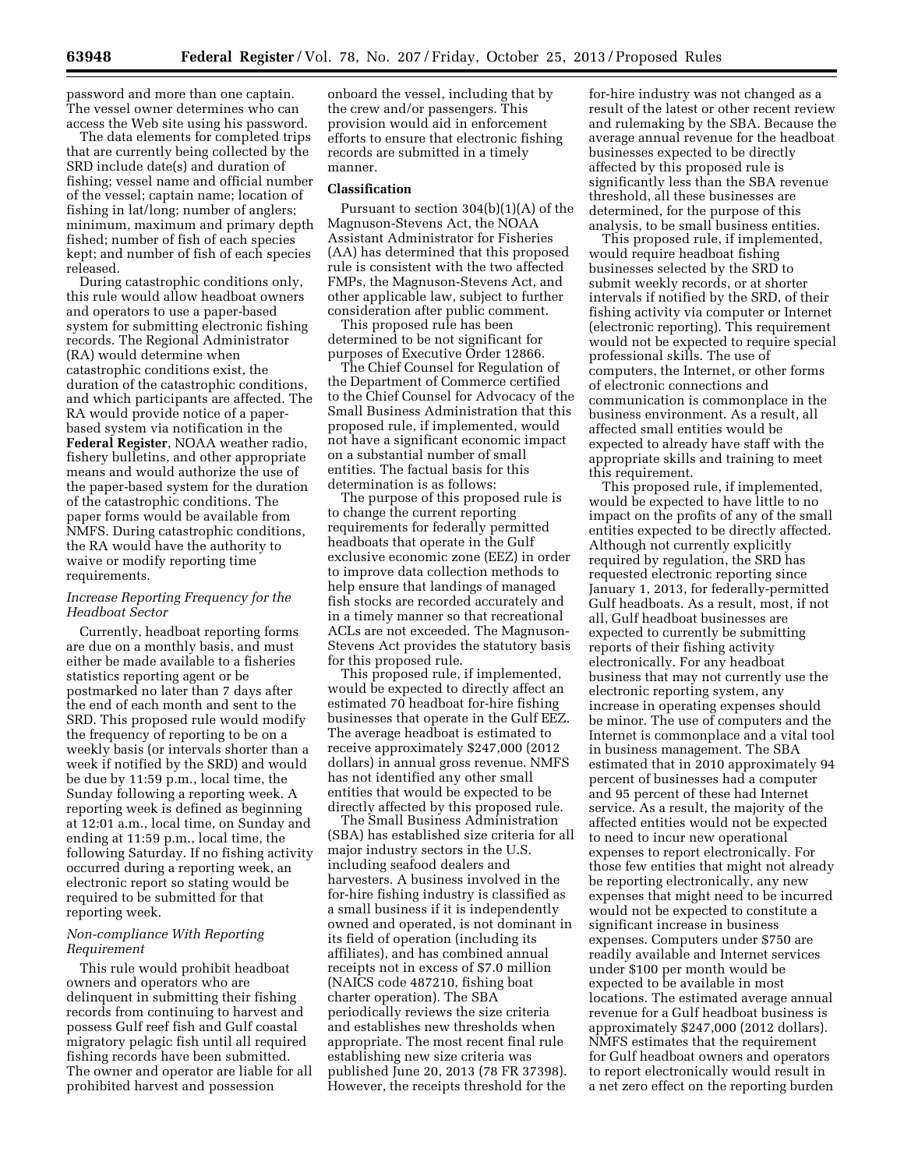password and more than one captain. The vessel owner determines who can access the Web site using his password.

The data elements for completed trips that are currently being collected by the SRD include date(s) and duration of fishing; vessel name and official number of the vessel; captain name; location of fishing in lat/long; number of anglers; minimum, maximum and primary depth fished; number of fish of each species kept; and number of fish of each species released.

During catastrophic conditions only, this rule would allow headboat owners and operators to use a paper-based system for submitting electronic fishing records. The Regional Administrator (RA) would determine when catastrophic conditions exist, the duration of the catastrophic conditions, and which participants are affected. The RA would provide notice of a paperbased system via notification in the **Federal Register**, NOAA weather radio, fishery bulletins, and other appropriate means and would authorize the use of the paper-based system for the duration of the catastrophic conditions. The paper forms would be available from NMFS. During catastrophic conditions, the RA would have the authority to waive or modify reporting time requirements.

# *Increase Reporting Frequency for the Headboat Sector*

Currently, headboat reporting forms are due on a monthly basis, and must either be made available to a fisheries statistics reporting agent or be postmarked no later than 7 days after the end of each month and sent to the SRD. This proposed rule would modify the frequency of reporting to be on a weekly basis (or intervals shorter than a week if notified by the SRD) and would be due by 11:59 p.m., local time, the Sunday following a reporting week. A reporting week is defined as beginning at 12:01 a.m., local time, on Sunday and ending at 11:59 p.m., local time, the following Saturday. If no fishing activity occurred during a reporting week, an electronic report so stating would be required to be submitted for that reporting week.

## *Non-compliance With Reporting Requirement*

This rule would prohibit headboat owners and operators who are delinquent in submitting their fishing records from continuing to harvest and possess Gulf reef fish and Gulf coastal migratory pelagic fish until all required fishing records have been submitted. The owner and operator are liable for all prohibited harvest and possession

onboard the vessel, including that by the crew and/or passengers. This provision would aid in enforcement efforts to ensure that electronic fishing records are submitted in a timely manner.

#### **Classification**

Pursuant to section 304(b)(1)(A) of the Magnuson-Stevens Act, the NOAA Assistant Administrator for Fisheries (AA) has determined that this proposed rule is consistent with the two affected FMPs, the Magnuson-Stevens Act, and other applicable law, subject to further consideration after public comment.

This proposed rule has been determined to be not significant for purposes of Executive Order 12866.

The Chief Counsel for Regulation of the Department of Commerce certified to the Chief Counsel for Advocacy of the Small Business Administration that this proposed rule, if implemented, would not have a significant economic impact on a substantial number of small entities. The factual basis for this determination is as follows:

The purpose of this proposed rule is to change the current reporting requirements for federally permitted headboats that operate in the Gulf exclusive economic zone (EEZ) in order to improve data collection methods to help ensure that landings of managed fish stocks are recorded accurately and in a timely manner so that recreational ACLs are not exceeded. The Magnuson-Stevens Act provides the statutory basis for this proposed rule.

This proposed rule, if implemented, would be expected to directly affect an estimated 70 headboat for-hire fishing businesses that operate in the Gulf EEZ. The average headboat is estimated to receive approximately \$247,000 (2012 dollars) in annual gross revenue. NMFS has not identified any other small entities that would be expected to be directly affected by this proposed rule.

The Small Business Administration (SBA) has established size criteria for all major industry sectors in the U.S. including seafood dealers and harvesters. A business involved in the for-hire fishing industry is classified as a small business if it is independently owned and operated, is not dominant in its field of operation (including its affiliates), and has combined annual receipts not in excess of \$7.0 million (NAICS code 487210, fishing boat charter operation). The SBA periodically reviews the size criteria and establishes new thresholds when appropriate. The most recent final rule establishing new size criteria was published June 20, 2013 (78 FR 37398). However, the receipts threshold for the

for-hire industry was not changed as a result of the latest or other recent review and rulemaking by the SBA. Because the average annual revenue for the headboat businesses expected to be directly affected by this proposed rule is significantly less than the SBA revenue threshold, all these businesses are determined, for the purpose of this analysis, to be small business entities.

This proposed rule, if implemented, would require headboat fishing businesses selected by the SRD to submit weekly records, or at shorter intervals if notified by the SRD, of their fishing activity via computer or Internet (electronic reporting). This requirement would not be expected to require special professional skills. The use of computers, the Internet, or other forms of electronic connections and communication is commonplace in the business environment. As a result, all affected small entities would be expected to already have staff with the appropriate skills and training to meet this requirement.

This proposed rule, if implemented, would be expected to have little to no impact on the profits of any of the small entities expected to be directly affected. Although not currently explicitly required by regulation, the SRD has requested electronic reporting since January 1, 2013, for federally-permitted Gulf headboats. As a result, most, if not all, Gulf headboat businesses are expected to currently be submitting reports of their fishing activity electronically. For any headboat business that may not currently use the electronic reporting system, any increase in operating expenses should be minor. The use of computers and the Internet is commonplace and a vital tool in business management. The SBA estimated that in 2010 approximately 94 percent of businesses had a computer and 95 percent of these had Internet service. As a result, the majority of the affected entities would not be expected to need to incur new operational expenses to report electronically. For those few entities that might not already be reporting electronically, any new expenses that might need to be incurred would not be expected to constitute a significant increase in business expenses. Computers under \$750 are readily available and Internet services under \$100 per month would be expected to be available in most locations. The estimated average annual revenue for a Gulf headboat business is approximately \$247,000 (2012 dollars). NMFS estimates that the requirement for Gulf headboat owners and operators to report electronically would result in a net zero effect on the reporting burden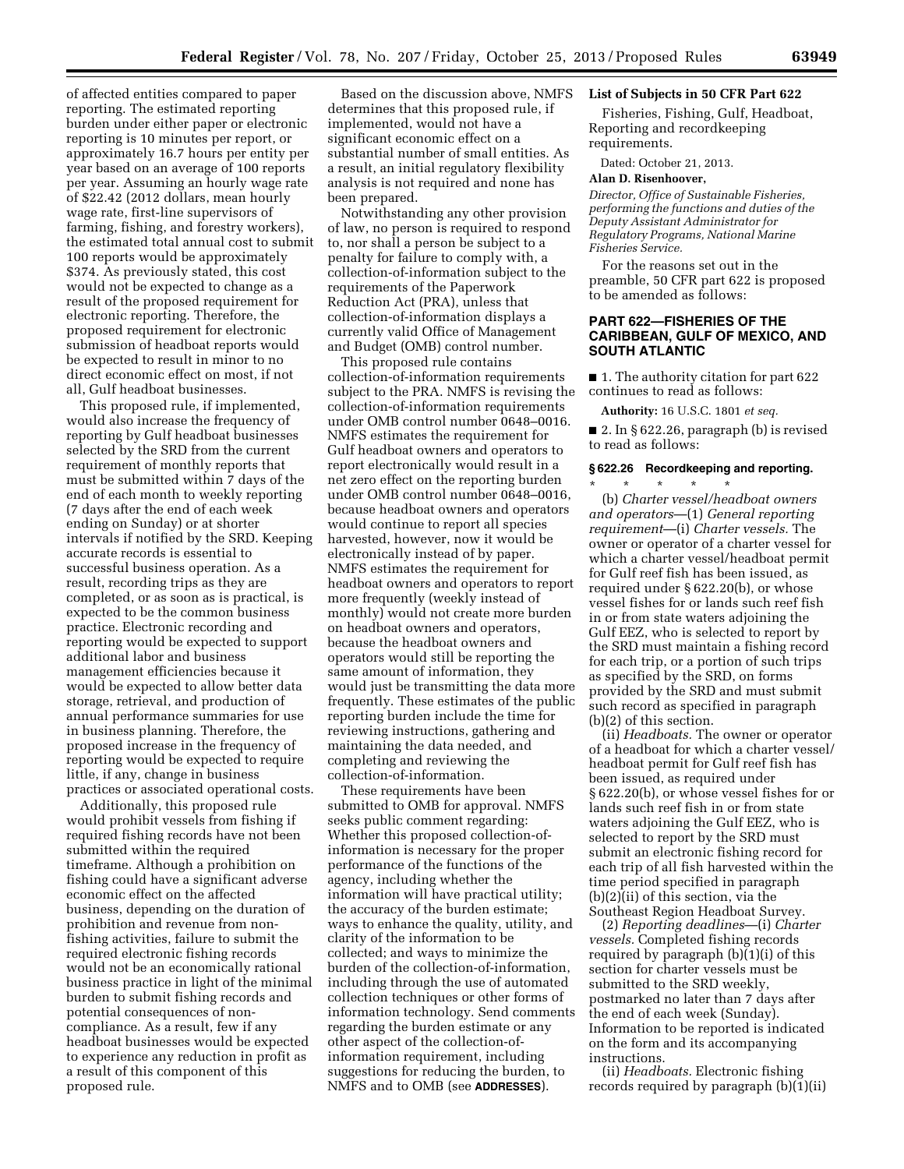of affected entities compared to paper reporting. The estimated reporting burden under either paper or electronic reporting is 10 minutes per report, or approximately 16.7 hours per entity per year based on an average of 100 reports per year. Assuming an hourly wage rate of \$22.42 (2012 dollars, mean hourly wage rate, first-line supervisors of farming, fishing, and forestry workers), the estimated total annual cost to submit 100 reports would be approximately \$374. As previously stated, this cost would not be expected to change as a result of the proposed requirement for electronic reporting. Therefore, the proposed requirement for electronic submission of headboat reports would be expected to result in minor to no direct economic effect on most, if not all, Gulf headboat businesses.

This proposed rule, if implemented, would also increase the frequency of reporting by Gulf headboat businesses selected by the SRD from the current requirement of monthly reports that must be submitted within 7 days of the end of each month to weekly reporting (7 days after the end of each week ending on Sunday) or at shorter intervals if notified by the SRD. Keeping accurate records is essential to successful business operation. As a result, recording trips as they are completed, or as soon as is practical, is expected to be the common business practice. Electronic recording and reporting would be expected to support additional labor and business management efficiencies because it would be expected to allow better data storage, retrieval, and production of annual performance summaries for use in business planning. Therefore, the proposed increase in the frequency of reporting would be expected to require little, if any, change in business practices or associated operational costs.

Additionally, this proposed rule would prohibit vessels from fishing if required fishing records have not been submitted within the required timeframe. Although a prohibition on fishing could have a significant adverse economic effect on the affected business, depending on the duration of prohibition and revenue from nonfishing activities, failure to submit the required electronic fishing records would not be an economically rational business practice in light of the minimal burden to submit fishing records and potential consequences of noncompliance. As a result, few if any headboat businesses would be expected to experience any reduction in profit as a result of this component of this proposed rule.

Based on the discussion above, NMFS determines that this proposed rule, if implemented, would not have a significant economic effect on a substantial number of small entities. As a result, an initial regulatory flexibility analysis is not required and none has been prepared.

Notwithstanding any other provision of law, no person is required to respond to, nor shall a person be subject to a penalty for failure to comply with, a collection-of-information subject to the requirements of the Paperwork Reduction Act (PRA), unless that collection-of-information displays a currently valid Office of Management and Budget (OMB) control number.

This proposed rule contains collection-of-information requirements subject to the PRA. NMFS is revising the collection-of-information requirements under OMB control number 0648–0016. NMFS estimates the requirement for Gulf headboat owners and operators to report electronically would result in a net zero effect on the reporting burden under OMB control number 0648–0016, because headboat owners and operators would continue to report all species harvested, however, now it would be electronically instead of by paper. NMFS estimates the requirement for headboat owners and operators to report more frequently (weekly instead of monthly) would not create more burden on headboat owners and operators, because the headboat owners and operators would still be reporting the same amount of information, they would just be transmitting the data more frequently. These estimates of the public reporting burden include the time for reviewing instructions, gathering and maintaining the data needed, and completing and reviewing the collection-of-information.

These requirements have been submitted to OMB for approval. NMFS seeks public comment regarding: Whether this proposed collection-ofinformation is necessary for the proper performance of the functions of the agency, including whether the information will have practical utility; the accuracy of the burden estimate; ways to enhance the quality, utility, and clarity of the information to be collected; and ways to minimize the burden of the collection-of-information, including through the use of automated collection techniques or other forms of information technology. Send comments regarding the burden estimate or any other aspect of the collection-ofinformation requirement, including suggestions for reducing the burden, to NMFS and to OMB (see **ADDRESSES**).

## **List of Subjects in 50 CFR Part 622**

Fisheries, Fishing, Gulf, Headboat, Reporting and recordkeeping requirements.

Dated: October 21, 2013.

### **Alan D. Risenhoover,**

*Director, Office of Sustainable Fisheries, performing the functions and duties of the Deputy Assistant Administrator for Regulatory Programs, National Marine Fisheries Service.* 

For the reasons set out in the preamble, 50 CFR part 622 is proposed to be amended as follows:

## **PART 622—FISHERIES OF THE CARIBBEAN, GULF OF MEXICO, AND SOUTH ATLANTIC**

■ 1. The authority citation for part 622 continues to read as follows:

**Authority:** 16 U.S.C. 1801 *et seq.* 

■ 2. In § 622.26, paragraph (b) is revised to read as follows:

## **§ 622.26 Recordkeeping and reporting.**

\* \* \* \* \* (b) *Charter vessel/headboat owners and operators*—(1) *General reporting requirement*—(i) *Charter vessels.* The owner or operator of a charter vessel for which a charter vessel/headboat permit for Gulf reef fish has been issued, as required under § 622.20(b), or whose vessel fishes for or lands such reef fish in or from state waters adjoining the Gulf EEZ, who is selected to report by the SRD must maintain a fishing record for each trip, or a portion of such trips as specified by the SRD, on forms provided by the SRD and must submit such record as specified in paragraph (b)(2) of this section.

(ii) *Headboats.* The owner or operator of a headboat for which a charter vessel/ headboat permit for Gulf reef fish has been issued, as required under § 622.20(b), or whose vessel fishes for or lands such reef fish in or from state waters adjoining the Gulf EEZ, who is selected to report by the SRD must submit an electronic fishing record for each trip of all fish harvested within the time period specified in paragraph (b)(2)(ii) of this section, via the Southeast Region Headboat Survey.

(2) *Reporting deadlines*—(i) *Charter vessels.* Completed fishing records required by paragraph (b)(1)(i) of this section for charter vessels must be submitted to the SRD weekly, postmarked no later than 7 days after the end of each week (Sunday). Information to be reported is indicated on the form and its accompanying instructions.

(ii) *Headboats.* Electronic fishing records required by paragraph (b)(1)(ii)